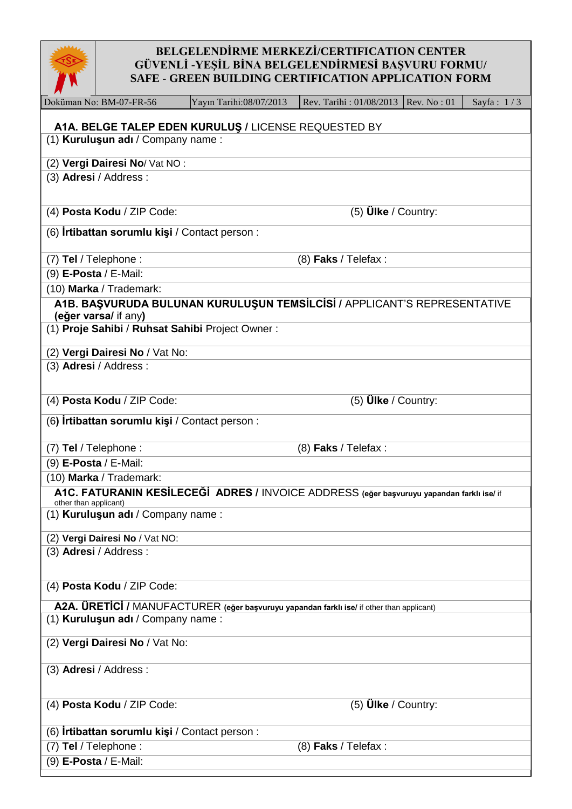

## **BELGELENDİRME MERKEZİ/CERTIFICATION CENTER GÜVENLİ -YEŞİL BİNA BELGELENDİRMESİ BAŞVURU FORMU/ SAFE - GREEN BUILDING CERTIFICATION APPLICATION FORM**

| $\blacksquare$                                                                                                     |                                                       |                                                                                           |                         |             |              |  |  |  |  |  |
|--------------------------------------------------------------------------------------------------------------------|-------------------------------------------------------|-------------------------------------------------------------------------------------------|-------------------------|-------------|--------------|--|--|--|--|--|
|                                                                                                                    | Doküman No: BM-07-FR-56                               | Yayın Tarihi:08/07/2013                                                                   | Rev. Tarihi: 01/08/2013 | Rev. No: 01 | Sayfa: $1/3$ |  |  |  |  |  |
| A1A. BELGE TALEP EDEN KURULUŞ / LICENSE REQUESTED BY                                                               |                                                       |                                                                                           |                         |             |              |  |  |  |  |  |
|                                                                                                                    | (1) Kuruluşun adı / Company name:                     |                                                                                           |                         |             |              |  |  |  |  |  |
|                                                                                                                    | (2) Vergi Dairesi No/ Vat NO:                         |                                                                                           |                         |             |              |  |  |  |  |  |
|                                                                                                                    | (3) Adresi / Address:                                 |                                                                                           |                         |             |              |  |  |  |  |  |
|                                                                                                                    |                                                       |                                                                                           |                         |             |              |  |  |  |  |  |
|                                                                                                                    | (4) Posta Kodu / ZIP Code:                            |                                                                                           | (5) $Ü$ lke / Country:  |             |              |  |  |  |  |  |
|                                                                                                                    | (6) <b>Irtibattan sorumlu kişi</b> / Contact person : |                                                                                           |                         |             |              |  |  |  |  |  |
|                                                                                                                    | (7) Tel / Telephone :                                 |                                                                                           | $(8)$ Faks / Telefax :  |             |              |  |  |  |  |  |
|                                                                                                                    | (9) E-Posta / E-Mail:                                 |                                                                                           |                         |             |              |  |  |  |  |  |
|                                                                                                                    | (10) Marka / Trademark:                               |                                                                                           |                         |             |              |  |  |  |  |  |
| A1B. BAŞVURUDA BULUNAN KURULUŞUN TEMSİLCİSİ / APPLICANT'S REPRESENTATIVE                                           |                                                       |                                                                                           |                         |             |              |  |  |  |  |  |
| (eğer varsa/ if any)<br>(1) Proje Sahibi / Ruhsat Sahibi Project Owner:                                            |                                                       |                                                                                           |                         |             |              |  |  |  |  |  |
|                                                                                                                    |                                                       |                                                                                           |                         |             |              |  |  |  |  |  |
|                                                                                                                    | (2) Vergi Dairesi No / Vat No:                        |                                                                                           |                         |             |              |  |  |  |  |  |
|                                                                                                                    | (3) Adresi / Address:                                 |                                                                                           |                         |             |              |  |  |  |  |  |
|                                                                                                                    | (4) Posta Kodu / ZIP Code:                            |                                                                                           | (5) $Ü$ lke / Country:  |             |              |  |  |  |  |  |
|                                                                                                                    | (6) <b>Irtibattan sorumlu kişi</b> / Contact person : |                                                                                           |                         |             |              |  |  |  |  |  |
| (7) Tel / Telephone :<br>$(8)$ Faks / Telefax :                                                                    |                                                       |                                                                                           |                         |             |              |  |  |  |  |  |
|                                                                                                                    | (9) E-Posta / E-Mail:                                 |                                                                                           |                         |             |              |  |  |  |  |  |
|                                                                                                                    | (10) Marka / Trademark:                               |                                                                                           |                         |             |              |  |  |  |  |  |
| A1C. FATURANIN KESİLECEĞİ ADRES / INVOICE ADDRESS (eğer başvuruyu yapandan farklı ise/ if<br>other than applicant) |                                                       |                                                                                           |                         |             |              |  |  |  |  |  |
|                                                                                                                    | (1) Kuruluşun adı / Company name:                     |                                                                                           |                         |             |              |  |  |  |  |  |
|                                                                                                                    | (2) Vergi Dairesi No / Vat NO:                        |                                                                                           |                         |             |              |  |  |  |  |  |
|                                                                                                                    | (3) Adresi / Address:                                 |                                                                                           |                         |             |              |  |  |  |  |  |
|                                                                                                                    | (4) Posta Kodu / ZIP Code:                            |                                                                                           |                         |             |              |  |  |  |  |  |
|                                                                                                                    |                                                       | A2A. ÜRETİCİ / MANUFACTURER (eğer başvuruyu yapandan farklı ise/ if other than applicant) |                         |             |              |  |  |  |  |  |
|                                                                                                                    | (1) Kuruluşun adı / Company name:                     |                                                                                           |                         |             |              |  |  |  |  |  |
|                                                                                                                    | (2) Vergi Dairesi No / Vat No:                        |                                                                                           |                         |             |              |  |  |  |  |  |
|                                                                                                                    | (3) Adresi / Address:                                 |                                                                                           |                         |             |              |  |  |  |  |  |
|                                                                                                                    | (4) Posta Kodu / ZIP Code:                            |                                                                                           | (5) $Ü$ lke / Country:  |             |              |  |  |  |  |  |
|                                                                                                                    | (6) <b>Irtibattan sorumlu kişi</b> / Contact person : |                                                                                           |                         |             |              |  |  |  |  |  |
|                                                                                                                    | (7) Tel / Telephone :<br>(8) Faks / Telefax :         |                                                                                           |                         |             |              |  |  |  |  |  |
|                                                                                                                    | (9) E-Posta / E-Mail:                                 |                                                                                           |                         |             |              |  |  |  |  |  |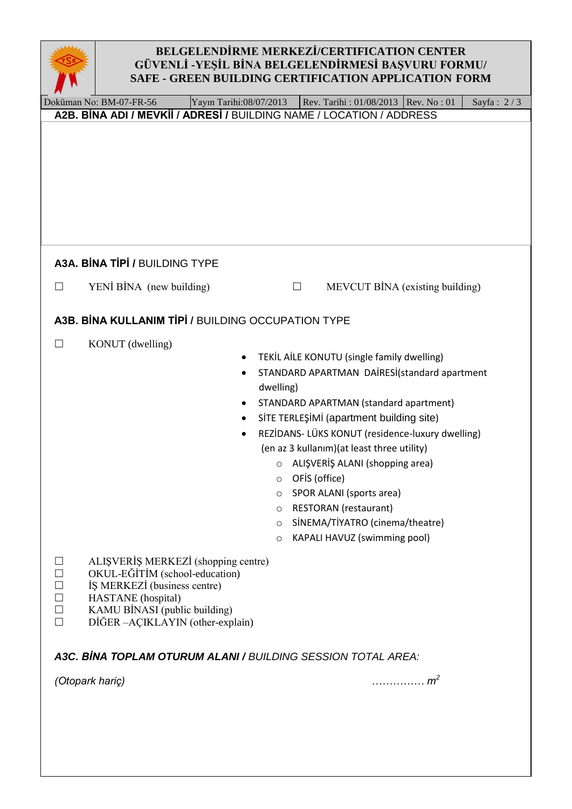

## **BELGELENDİRME MERKEZİ/CERTIFICATION CENTER GÜVENLİ -YEŞİL BİNA BELGELENDİRMESİ BAŞVURU FORMU/ SAFE - GREEN BUILDING CERTIFICATION APPLICATION FORM**

| ↗                                                        |                                                                                                                                                                                                                                                                                                                                                                                                                                                                                                                                                                     |                         |  |        |                         |                                              |  |              |
|----------------------------------------------------------|---------------------------------------------------------------------------------------------------------------------------------------------------------------------------------------------------------------------------------------------------------------------------------------------------------------------------------------------------------------------------------------------------------------------------------------------------------------------------------------------------------------------------------------------------------------------|-------------------------|--|--------|-------------------------|----------------------------------------------|--|--------------|
|                                                          | Doküman No: BM-07-FR-56<br>A2B. BINA ADI / MEVKII / ADRESI / BUILDING NAME / LOCATION / ADDRESS                                                                                                                                                                                                                                                                                                                                                                                                                                                                     | Yayın Tarihi:08/07/2013 |  |        | Rev. Tarihi: 01/08/2013 | <b>Rev. No: 01</b>                           |  | Sayfa: $2/3$ |
|                                                          |                                                                                                                                                                                                                                                                                                                                                                                                                                                                                                                                                                     |                         |  |        |                         |                                              |  |              |
|                                                          | A3A. BINA TIPI / BUILDING TYPE                                                                                                                                                                                                                                                                                                                                                                                                                                                                                                                                      |                         |  |        |                         |                                              |  |              |
| $\Box$                                                   | YENİ BİNA (new building)                                                                                                                                                                                                                                                                                                                                                                                                                                                                                                                                            |                         |  | $\Box$ |                         | MEVCUT BİNA (existing building)              |  |              |
|                                                          | A3B. BINA KULLANIM TIPI / BUILDING OCCUPATION TYPE                                                                                                                                                                                                                                                                                                                                                                                                                                                                                                                  |                         |  |        |                         |                                              |  |              |
| $\Box$                                                   | KONUT (dwelling)<br>TEKİL AİLE KONUTU (single family dwelling)<br>STANDARD APARTMAN DAİRESİ(standard apartment<br>dwelling)<br>STANDARD APARTMAN (standard apartment)<br>SİTE TERLEŞİMİ (apartment building site)<br>REZİDANS- LÜKS KONUT (residence-luxury dwelling)<br>(en az 3 kullanım) (at least three utility)<br>ALIŞVERİŞ ALANI (shopping area)<br>$\circ$<br>OFIS (office)<br>$\circ$<br>SPOR ALANI (sports area)<br>$\circ$<br><b>RESTORAN</b> (restaurant)<br>$\circ$<br>SİNEMA/TİYATRO (cinema/theatre)<br>O<br>KAPALI HAVUZ (swimming pool)<br>$\circ$ |                         |  |        |                         |                                              |  |              |
| $\Box$<br>$\Box$<br>$\Box$<br>$\Box$<br>$\Box$<br>$\Box$ | ALIŞVERİŞ MERKEZİ (shopping centre)<br>OKUL-EĞİTİM (school-education)<br>IS MERKEZI (business centre)<br>HASTANE (hospital)<br>KAMU BİNASI (public building)<br>DİĞER-AÇIKLAYIN (other-explain)<br>A3C. BINA TOPLAM OTURUM ALANI / BUILDING SESSION TOTAL AREA:                                                                                                                                                                                                                                                                                                     |                         |  |        |                         |                                              |  |              |
|                                                          | (Otopark hariç)                                                                                                                                                                                                                                                                                                                                                                                                                                                                                                                                                     |                         |  |        |                         | $\ldots \ldots \ldots \ldots$ m <sup>2</sup> |  |              |